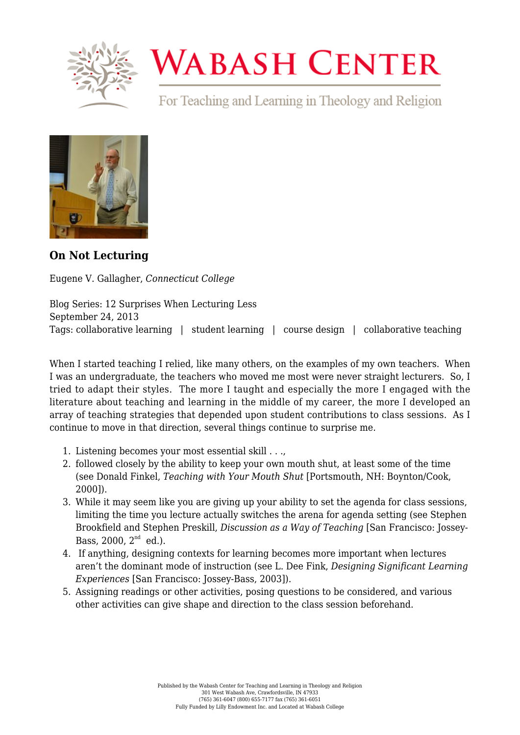

## **WABASH CENTER**

For Teaching and Learning in Theology and Religion



**[On Not Lecturing](https://www.wabashcenter.wabash.edu/2013/09/eugene-v-gallagher-rosemary-park-professor-of-religious-studies-connecticut-college-on-not-lecturing-2/)**

Eugene V. Gallagher, *Connecticut College*

Blog Series: 12 Surprises When Lecturing Less September 24, 2013 Tags: collaborative learning | student learning | course design | collaborative teaching

When I started teaching I relied, like many others, on the examples of my own teachers. When I was an undergraduate, the teachers who moved me most were never straight lecturers. So, I tried to adapt their styles. The more I taught and especially the more I engaged with the literature about teaching and learning in the middle of my career, the more I developed an array of teaching strategies that depended upon student contributions to class sessions. As I continue to move in that direction, several things continue to surprise me.

- 1. Listening becomes your most essential skill . . .,
- 2. followed closely by the ability to keep your own mouth shut, at least some of the time (see Donald Finkel, *Teaching with Your Mouth Shut* [Portsmouth, NH: Boynton/Cook, 2000]).
- 3. While it may seem like you are giving up your ability to set the agenda for class sessions, limiting the time you lecture actually switches the arena for agenda setting (see Stephen Brookfield and Stephen Preskill, *Discussion as a Way of Teaching* [San Francisco: Jossey-Bass,  $2000$ ,  $2^{nd}$  ed.).
- 4. If anything, designing contexts for learning becomes more important when lectures aren't the dominant mode of instruction (see L. Dee Fink, *Designing Significant Learning Experiences* [San Francisco: Jossey-Bass, 2003]).
- 5. Assigning readings or other activities, posing questions to be considered, and various other activities can give shape and direction to the class session beforehand.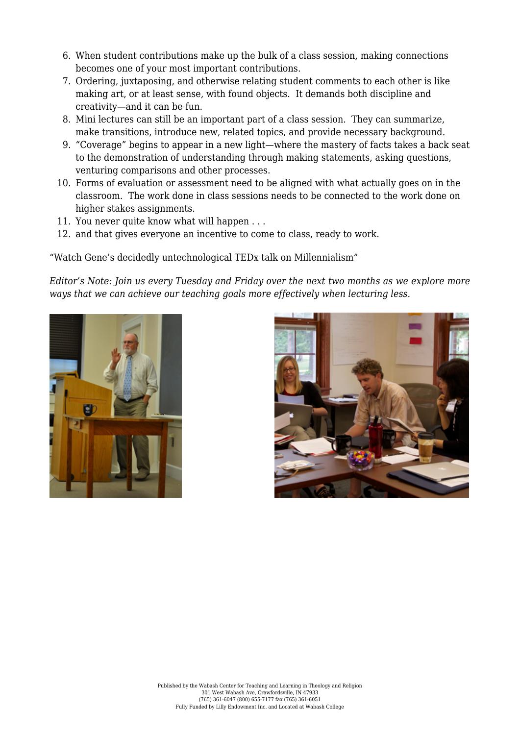- 6. When student contributions make up the bulk of a class session, making connections becomes one of your most important contributions.
- 7. Ordering, juxtaposing, and otherwise relating student comments to each other is like making art, or at least sense, with found objects. It demands both discipline and creativity—and it can be fun.
- 8. Mini lectures can still be an important part of a class session. They can summarize, make transitions, introduce new, related topics, and provide necessary background.
- 9. "Coverage" begins to appear in a new light—where the mastery of facts takes a back seat to the demonstration of understanding through making statements, asking questions, venturing comparisons and other processes.
- 10. Forms of evaluation or assessment need to be aligned with what actually goes on in the classroom. The work done in class sessions needs to be connected to the work done on higher stakes assignments.
- 11. You never quite know what will happen . . .
- 12. and that gives everyone an incentive to come to class, ready to work.

["Watch Gene's decidedly untechnological TEDx talk on Millennialism"](http://www.youtube.com/watch?v=6iVAX3462AI]) 

*Editor's Note: Join us every Tuesday and Friday over the next two months as we explore more ways that we can achieve our teaching goals more effectively when lecturing less.*